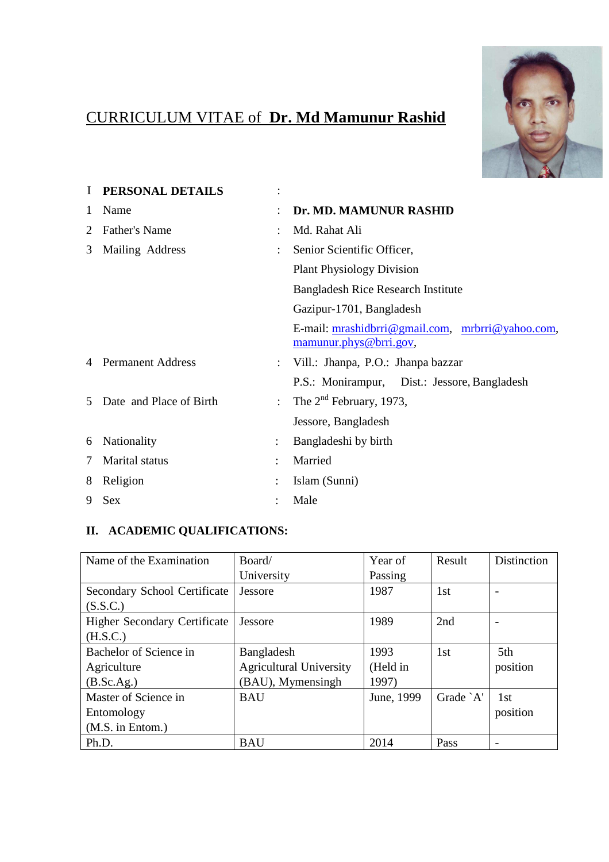# CURRICULUM VITAE of **Dr. Md Mamunur Rashid**



| I | PERSONAL DETAILS         | $\bullet$            |                                                                            |
|---|--------------------------|----------------------|----------------------------------------------------------------------------|
| 1 | Name                     | ٠                    | Dr. MD. MAMUNUR RASHID                                                     |
| 2 | Father's Name            | $\bullet$            | Md. Rahat Ali                                                              |
| 3 | Mailing Address          | $\ddot{\cdot}$       | Senior Scientific Officer,                                                 |
|   |                          |                      | <b>Plant Physiology Division</b>                                           |
|   |                          |                      | <b>Bangladesh Rice Research Institute</b>                                  |
|   |                          |                      | Gazipur-1701, Bangladesh                                                   |
|   |                          |                      | E-mail: mrashidbrri@gmail.com, mrbrri@yahoo.com,<br>mamunur.phys@brri.gov, |
|   | <b>Permanent Address</b> | $\ddot{\cdot}$       | Vill.: Jhanpa, P.O.: Jhanpa bazzar                                         |
|   |                          |                      | P.S.: Monirampur, Dist.: Jessore, Bangladesh                               |
| 5 | Date and Place of Birth  | $\ddot{\phantom{a}}$ | The $2nd$ February, 1973,                                                  |
|   |                          |                      | Jessore, Bangladesh                                                        |
| 6 | Nationality              | $\vdots$             | Bangladeshi by birth                                                       |
| 7 | Marital status           |                      | Married                                                                    |
| 8 | Religion                 |                      | Islam (Sunni)                                                              |
| 9 | <b>Sex</b>               |                      | Male                                                                       |

# **II. ACADEMIC QUALIFICATIONS:**

| Name of the Examination             | Board/                         | Year of    | Result    | <b>Distinction</b> |
|-------------------------------------|--------------------------------|------------|-----------|--------------------|
|                                     | University                     | Passing    |           |                    |
| Secondary School Certificate        | <b>Jessore</b>                 | 1987       | 1st       |                    |
| (S.S.C.)                            |                                |            |           |                    |
| <b>Higher Secondary Certificate</b> | Jessore                        | 1989       | 2nd       |                    |
| (H.S.C.)                            |                                |            |           |                    |
| Bachelor of Science in              | Bangladesh                     | 1993       | 1st       | 5th                |
| Agriculture                         | <b>Agricultural University</b> | (Held in   |           | position           |
| (B.Sc.Ag.)                          | (BAU), Mymensingh              | 1997)      |           |                    |
| Master of Science in                | <b>BAU</b>                     | June, 1999 | Grade `A' | 1st                |
| Entomology                          |                                |            |           | position           |
| (M.S. in Entom.)                    |                                |            |           |                    |
| Ph.D.                               | <b>BAU</b>                     | 2014       | Pass      |                    |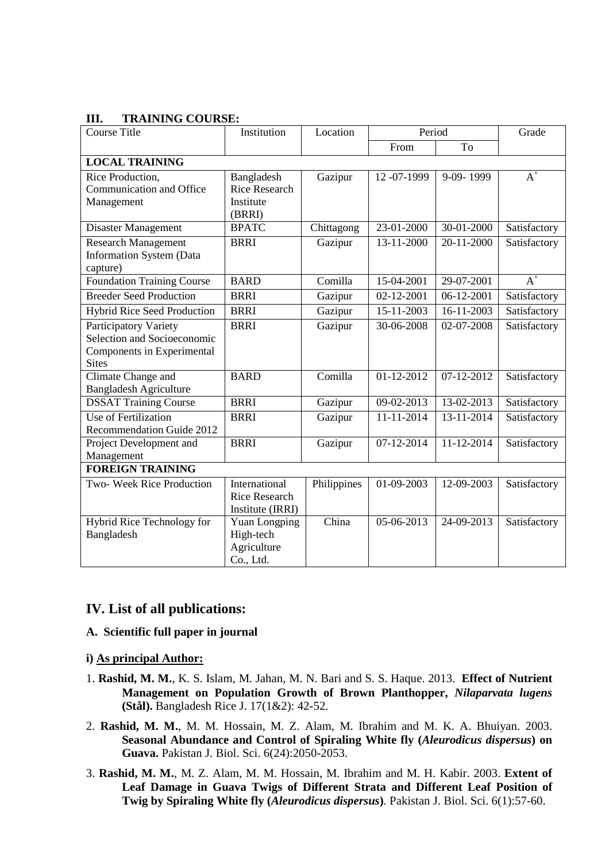| <b>Course Title</b>             | Institution          | Location    | Period           |                  | Grade            |  |  |  |  |
|---------------------------------|----------------------|-------------|------------------|------------------|------------------|--|--|--|--|
|                                 |                      |             | From             | To               |                  |  |  |  |  |
| <b>LOCAL TRAINING</b>           |                      |             |                  |                  |                  |  |  |  |  |
| Rice Production,                | Bangladesh           | Gazipur     | 12-07-1999       | 9-09-1999        | $A^+$            |  |  |  |  |
| Communication and Office        | <b>Rice Research</b> |             |                  |                  |                  |  |  |  |  |
| Management                      | Institute            |             |                  |                  |                  |  |  |  |  |
|                                 | (BRRI)               |             |                  |                  |                  |  |  |  |  |
| Disaster Management             | <b>BPATC</b>         | Chittagong  | 23-01-2000       | 30-01-2000       | Satisfactory     |  |  |  |  |
| <b>Research Management</b>      | <b>BRRI</b>          | Gazipur     | 13-11-2000       | 20-11-2000       | Satisfactory     |  |  |  |  |
| <b>Information System (Data</b> |                      |             |                  |                  |                  |  |  |  |  |
| capture)                        |                      |             |                  |                  |                  |  |  |  |  |
| Foundation Training Course      | <b>BARD</b>          | Comilla     | 15-04-2001       | 29-07-2001       | $\overline{A}^+$ |  |  |  |  |
| <b>Breeder Seed Production</b>  | <b>BRRI</b>          | Gazipur     | 02-12-2001       | 06-12-2001       | Satisfactory     |  |  |  |  |
| Hybrid Rice Seed Production     | <b>BRRI</b>          | Gazipur     | 15-11-2003       | 16-11-2003       | Satisfactory     |  |  |  |  |
| <b>Participatory Variety</b>    | <b>BRRI</b>          | Gazipur     | $30 - 06 - 2008$ | 02-07-2008       | Satisfactory     |  |  |  |  |
| Selection and Socioeconomic     |                      |             |                  |                  |                  |  |  |  |  |
| Components in Experimental      |                      |             |                  |                  |                  |  |  |  |  |
| <b>Sites</b>                    |                      |             |                  |                  |                  |  |  |  |  |
| Climate Change and              | <b>BARD</b>          | Comilla     | 01-12-2012       | 07-12-2012       | Satisfactory     |  |  |  |  |
| <b>Bangladesh Agriculture</b>   |                      |             |                  |                  |                  |  |  |  |  |
| <b>DSSAT Training Course</b>    | <b>BRRI</b>          | Gazipur     | 09-02-2013       | 13-02-2013       | Satisfactory     |  |  |  |  |
| Use of Fertilization            | <b>BRRI</b>          | Gazipur     | 11-11-2014       | 13-11-2014       | Satisfactory     |  |  |  |  |
| Recommendation Guide 2012       |                      |             |                  |                  |                  |  |  |  |  |
| Project Development and         | <b>BRRI</b>          | Gazipur     | $07 - 12 - 2014$ | $11 - 12 - 2014$ | Satisfactory     |  |  |  |  |
| Management                      |                      |             |                  |                  |                  |  |  |  |  |
| <b>FOREIGN TRAINING</b>         |                      |             |                  |                  |                  |  |  |  |  |
| Two- Week Rice Production       | International        | Philippines | 01-09-2003       | 12-09-2003       | Satisfactory     |  |  |  |  |
|                                 | <b>Rice Research</b> |             |                  |                  |                  |  |  |  |  |
|                                 | Institute (IRRI)     |             |                  |                  |                  |  |  |  |  |
| Hybrid Rice Technology for      | <b>Yuan Longping</b> | China       | 05-06-2013       | 24-09-2013       | Satisfactory     |  |  |  |  |
| Bangladesh                      | High-tech            |             |                  |                  |                  |  |  |  |  |
|                                 | Agriculture          |             |                  |                  |                  |  |  |  |  |
|                                 | Co., Ltd.            |             |                  |                  |                  |  |  |  |  |

# **III. TRAINING COURSE:**

# **IV. List of all publications:**

# **A. Scientific full paper in journal**

#### **i) As principal Author:**

- 1. **Rashid, M. M.**, K. S. Islam, M. Jahan, M. N. Bari and S. S. Haque. 2013. **Effect of Nutrient Management on Population Growth of Brown Planthopper,** *Nilaparvata lugens*  **(Stål).** Bangladesh Rice J. 17(1&2): 42-52.
- 2. **Rashid, M. M.**, M. M. Hossain, M. Z. Alam, M. Ibrahim and M. K. A. Bhuiyan. 2003. **Seasonal Abundance and Control of Spiraling White fly (***Aleurodicus dispersus***) on Guava.** Pakistan J. Biol. Sci. 6(24):2050-2053.
- 3. **Rashid, M. M.**, M. Z. Alam, M. M. Hossain, M. Ibrahim and M. H. Kabir. 2003. **Extent of Leaf Damage in Guava Twigs of Different Strata and Different Leaf Position of Twig by Spiraling White fly (***Aleurodicus dispersus***)***.* Pakistan J. Biol. Sci. 6(1):57-60.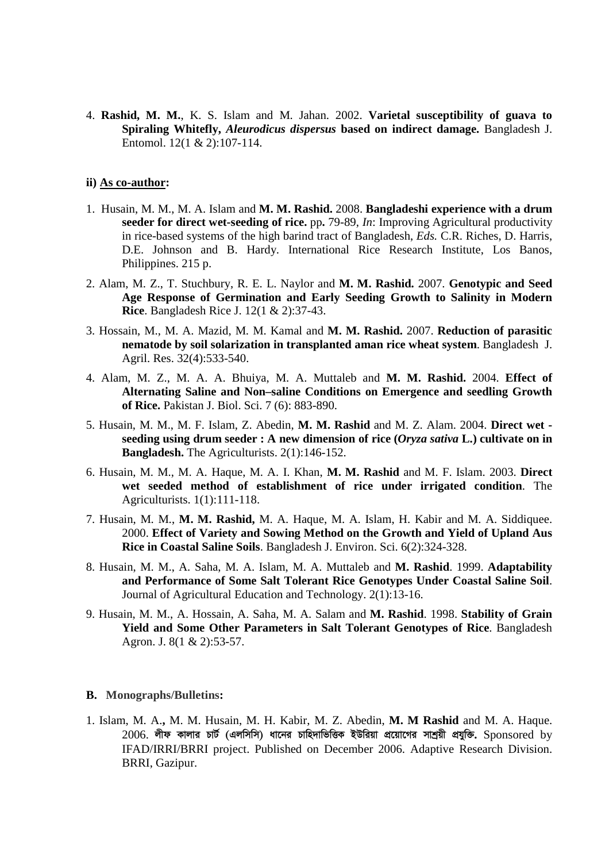4. **Rashid, M. M.**, K. S. Islam and M. Jahan. 2002. **Varietal susceptibility of guava to Spiraling Whitefly,** *Aleurodicus dispersus* **based on indirect damage.** Bangladesh J. Entomol. 12(1 & 2):107-114.

#### **ii) As co-author:**

- 1. Husain, M. M., M. A. Islam and **M. M. Rashid.** 2008. **Bangladeshi experience with a drum seeder for direct wet-seeding of rice.** pp. 79-89, *In*: Improving Agricultural productivity in rice-based systems of the high barind tract of Bangladesh, *Eds.* C.R. Riches, D. Harris, D.E. Johnson and B. Hardy. International Rice Research Institute, Los Banos, Philippines. 215 p.
- 2. Alam, M. Z., T. Stuchbury, R. E. L. Naylor and **M. M. Rashid.** 2007. **Genotypic and Seed Age Response of Germination and Early Seeding Growth to Salinity in Modern Rice**. Bangladesh Rice J. 12(1 & 2):37-43.
- 3. Hossain, M., M. A. Mazid, M. M. Kamal and **M. M. Rashid.** 2007. **Reduction of parasitic nematode by soil solarization in transplanted aman rice wheat system**. Bangladesh J. Agril. Res. 32(4):533-540.
- 4. Alam, M. Z., M. A. A. Bhuiya, M. A. Muttaleb and **M. M. Rashid.** 2004. **Effect of Alternating Saline and Non–saline Conditions on Emergence and seedling Growth of Rice.** Pakistan J. Biol. Sci. 7 (6): 883-890.
- 5. Husain, M. M., M. F. Islam, Z. Abedin, **M. M. Rashid** and M. Z. Alam. 2004. **Direct wet seeding using drum seeder : A new dimension of rice (***Oryza sativa* **L.) cultivate on in Bangladesh.** The Agriculturists. 2(1):146-152.
- 6. Husain, M. M., M. A. Haque, M. A. I. Khan, **M. M. Rashid** and M. F. Islam. 2003. **Direct wet seeded method of establishment of rice under irrigated condition**. The Agriculturists. 1(1):111-118.
- 7. Husain, M. M., **M. M. Rashid,** M. A. Haque, M. A. Islam, H. Kabir and M. A. Siddiquee. 2000. **Effect of Variety and Sowing Method on the Growth and Yield of Upland Aus Rice in Coastal Saline Soils**. Bangladesh J. Environ. Sci. 6(2):324-328.
- 8. Husain, M. M., A. Saha, M. A. Islam, M. A. Muttaleb and **M. Rashid**. 1999. **Adaptability and Performance of Some Salt Tolerant Rice Genotypes Under Coastal Saline Soil**. Journal of Agricultural Education and Technology. 2(1):13-16.
- 9. Husain, M. M., A. Hossain, A. Saha, M. A. Salam and **M. Rashid**. 1998. **Stability of Grain Yield and Some Other Parameters in Salt Tolerant Genotypes of Rice**. Bangladesh Agron. J. 8(1 & 2):53-57.

### **B. Monographs/Bulletins:**

1. Islam, M. A.**,** M. M. Husain, M. H. Kabir, M. Z. Abedin, **M. M Rashid** and M. A. Haque.  $2006$ . লীফ কালার চার্ট (এলসিসি) ধানের চাহিদাভিত্তিক ইউরিয়া প্রয়োগের সাশ্রয়ী প্রযুক্তি. Sponsored by IFAD/IRRI/BRRI project. Published on December 2006. Adaptive Research Division. BRRI, Gazipur.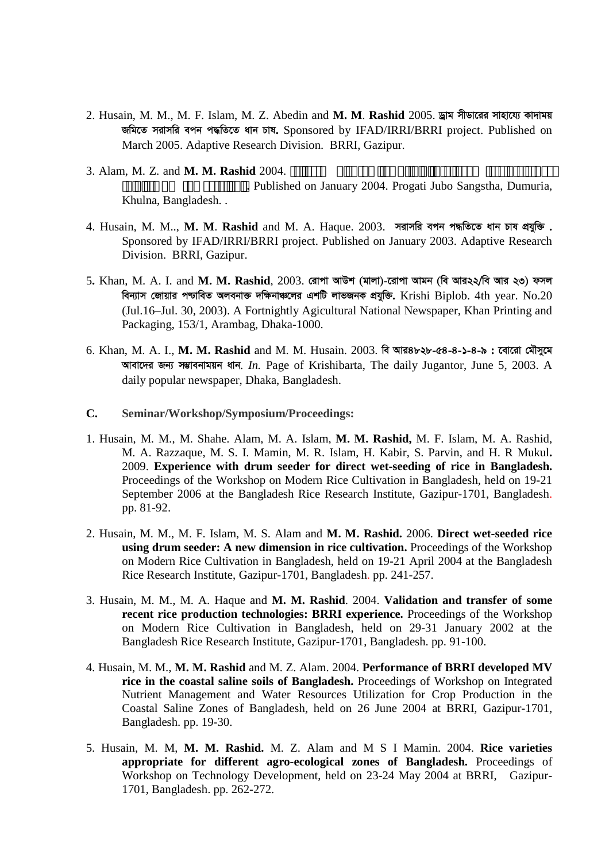- 2. Husain, M. M., M. F. Islam, M. Z. Abedin and M. M. Rashid 2005. দ্বাম সীডারের সাহায্যে কাদাময় জমিতে সরাসরি বপন পদ্ধতিতে ধান চাষ. Sponsored by IFAD/IRRI/BRRI project. Published on March 2005. Adaptive Research Division. BRRI, Gazipur.
- 3. Alam, M. Z. and **M. M. Rashid** 2004. av‡bi ¶wZKviK cvZv Lv`K †cvKv I Mv‡Qi wfZ‡i e‡m Lvq Ggb †cvKvi cwiwPwZ I `gb e¨ve¯'v **.** Published on January 2004. Progati Jubo Sangstha, Dumuria, Khulna, Bangladesh. .
- $4.$  Husain, M. M.., M. M. Rashid and M. A. Haque. 2003. সরাসরি বপন পদ্ধতিতে ধান চাষ প্রযুক্তি. Sponsored by IFAD/IRRI/BRRI project. Published on January 2003. Adaptive Research Division. BRRI, Gazipur.
- 5. Khan, M. A. I. and M. M. Rashid, 2003. রোপা আউশ (মালা)-রোপা আমন (বি আর২২/বি আর ২৩) ফসল **web¨vm †Rvqvi c−vweZ Ajebv³ `w¶bv‡ji GkwU jvfRbK cÖhyw³.** Krishi Biplob. 4th year. No.20 (Jul.16–Jul. 30, 2003). A Fortnightly Agicultural National Newspaper, Khan Printing and Packaging, 153/1, Arambag, Dhaka-1000.
- 6. Khan, M. A. I., M. M. Rashid and M. M. Husain. 2003. বি আর৪৮২৮-৫৪-৪-১-৪-৯: বোরো মৌসুমে **Avev‡`i Rb¨ m¤¢vebvgqb avb**. *In.* Page of Krishibarta, The daily Jugantor, June 5, 2003. A daily popular newspaper, Dhaka, Bangladesh.
- **C. Seminar/Workshop/Symposium/Proceedings:**
- 1. Husain, M. M., M. Shahe. Alam, M. A. Islam, **M. M. Rashid,** M. F. Islam, M. A. Rashid, M. A. Razzaque, M. S. I. Mamin, M. R. Islam, H. Kabir, S. Parvin, and H. R Mukul**.** 2009. **Experience with drum seeder for direct wet-seeding of rice in Bangladesh.** Proceedings of the Workshop on Modern Rice Cultivation in Bangladesh, held on 19-21 September 2006 at the Bangladesh Rice Research Institute, Gazipur-1701, Bangladesh. pp. 81-92.
- 2. Husain, M. M., M. F. Islam, M. S. Alam and **M. M. Rashid.** 2006. **Direct wet-seeded rice using drum seeder: A new dimension in rice cultivation.** Proceedings of the Workshop on Modern Rice Cultivation in Bangladesh, held on 19-21 April 2004 at the Bangladesh Rice Research Institute, Gazipur-1701, Bangladesh. pp. 241-257.
- 3. Husain, M. M., M. A. Haque and **M. M. Rashid**. 2004. **Validation and transfer of some recent rice production technologies: BRRI experience.** Proceedings of the Workshop on Modern Rice Cultivation in Bangladesh, held on 29-31 January 2002 at the Bangladesh Rice Research Institute, Gazipur-1701, Bangladesh. pp. 91-100.
- 4. Husain, M. M., **M. M. Rashid** and M. Z. Alam. 2004. **Performance of BRRI developed MV rice in the coastal saline soils of Bangladesh.** Proceedings of Workshop on Integrated Nutrient Management and Water Resources Utilization for Crop Production in the Coastal Saline Zones of Bangladesh, held on 26 June 2004 at BRRI, Gazipur-1701, Bangladesh. pp. 19-30.
- 5. Husain, M. M, **M. M. Rashid.** M. Z. Alam and M S I Mamin. 2004. **Rice varieties appropriate for different agro-ecological zones of Bangladesh.** Proceedings of Workshop on Technology Development, held on 23-24 May 2004 at BRRI, Gazipur-1701, Bangladesh. pp. 262-272.